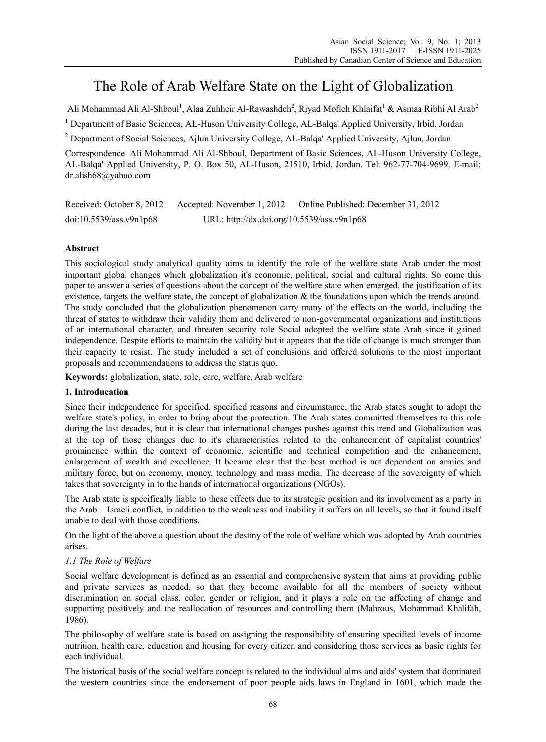# The Role of Arab Welfare State on the Light of Globalization

Ali Mohammad Ali Al-Shboul<sup>1</sup>, Alaa Zuhheir Al-Rawashdeh<sup>2</sup>, Riyad Mofleh Khlaifat<sup>1</sup> & Asmaa Ribhi Al Arab<sup>2</sup>

<sup>1</sup> Department of Basic Sciences, AL-Huson University College, AL-Balqa' Applied University, Irbid, Jordan

<sup>2</sup> Department of Social Sciences, Ajlun University College, AL-Balqa' Applied University, Ajlun, Jordan

Correspondence: Ali Mohammad Ali Al-Shboul, Department of Basic Sciences, AL-Huson University College, AL-Balqa' Applied University, P. O. Box 50, AL-Huson, 21510, Irbid, Jordan. Tel: 962-77-704-9699. E-mail: dr.alish68@yahoo.com

Received: October 8, 2012 Accepted: November 1, 2012 Online Published: December 31, 2012 doi:10.5539/ass.v9n1p68 URL: http://dx.doi.org/10.5539/ass.v9n1p68

# **Abstract**

This sociological study analytical quality aims to identify the role of the welfare state Arab under the most important global changes which globalization it's economic, political, social and cultural rights. So come this paper to answer a series of questions about the concept of the welfare state when emerged, the justification of its existence, targets the welfare state, the concept of globalization  $\&$  the foundations upon which the trends around. The study concluded that the globalization phenomenon carry many of the effects on the world, including the threat of states to withdraw their validity them and delivered to non-governmental organizations and institutions of an international character, and threaten security role Social adopted the welfare state Arab since it gained independence. Despite efforts to maintain the validity but it appears that the tide of change is much stronger than their capacity to resist. The study included a set of conclusions and offered solutions to the most important proposals and recommendations to address the status quo.

**Keywords:** globalization, state, role, care, welfare, Arab welfare

# **1. Introducation**

Since their independence for specified, specified reasons and circumstance, the Arab states sought to adopt the welfare state's policy, in order to bring about the protection. The Arab states committed themselves to this role during the last decades, but it is clear that international changes pushes against this trend and Globalization was at the top of those changes due to it's characteristics related to the enhancement of capitalist countries' prominence within the context of economic, scientific and technical competition and the enhancement, enlargement of wealth and excellence. It became clear that the best method is not dependent on armies and military force, but on economy, money, technology and mass media. The decrease of the sovereignty of which takes that sovereignty in to the hands of international organizations (NGOs).

The Arab state is specifically liable to these effects due to its strategic position and its involvement as a party in the Arab – Israeli conflict, in addition to the weakness and inability it suffers on all levels, so that it found itself unable to deal with those conditions.

On the light of the above a question about the destiny of the role of welfare which was adopted by Arab countries arises.

# *1.1 The Role of Welfare*

Social welfare development is defined as an essential and comprehensive system that aims at providing public and private services as needed, so that they become available for all the members of society without discrimination on social class, color, gender or religion, and it plays a role on the affecting of change and supporting positively and the reallocation of resources and controlling them (Mahrous, Mohammad Khalifah, 1986).

The philosophy of welfare state is based on assigning the responsibility of ensuring specified levels of income nutrition, health care, education and housing for every citizen and considering those services as basic rights for each individual.

The historical basis of the social welfare concept is related to the individual alms and aids' system that dominated the western countries since the endorsement of poor people aids laws in England in 1601, which made the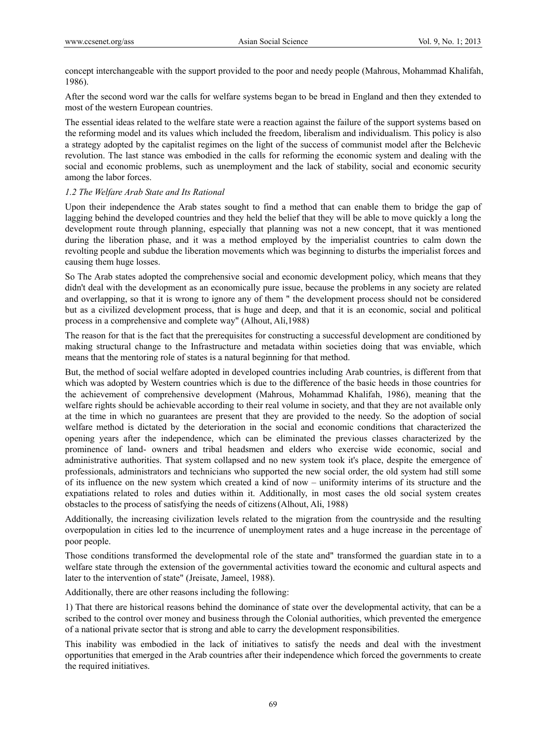concept interchangeable with the support provided to the poor and needy people (Mahrous, Mohammad Khalifah, 1986).

After the second word war the calls for welfare systems began to be bread in England and then they extended to most of the western European countries.

The essential ideas related to the welfare state were a reaction against the failure of the support systems based on the reforming model and its values which included the freedom, liberalism and individualism. This policy is also a strategy adopted by the capitalist regimes on the light of the success of communist model after the Belchevic revolution. The last stance was embodied in the calls for reforming the economic system and dealing with the social and economic problems, such as unemployment and the lack of stability, social and economic security among the labor forces.

## *1.2 The Welfare Arab State and Its Rational*

Upon their independence the Arab states sought to find a method that can enable them to bridge the gap of lagging behind the developed countries and they held the belief that they will be able to move quickly a long the development route through planning, especially that planning was not a new concept, that it was mentioned during the liberation phase, and it was a method employed by the imperialist countries to calm down the revolting people and subdue the liberation movements which was beginning to disturbs the imperialist forces and causing them huge losses.

So The Arab states adopted the comprehensive social and economic development policy, which means that they didn't deal with the development as an economically pure issue, because the problems in any society are related and overlapping, so that it is wrong to ignore any of them " the development process should not be considered but as a civilized development process, that is huge and deep, and that it is an economic, social and political process in a comprehensive and complete way" (Alhout, Ali,1988)

The reason for that is the fact that the prerequisites for constructing a successful development are conditioned by making structural change to the Infrastructure and metadata within societies doing that was enviable, which means that the mentoring role of states is a natural beginning for that method.

But, the method of social welfare adopted in developed countries including Arab countries, is different from that which was adopted by Western countries which is due to the difference of the basic heeds in those countries for the achievement of comprehensive development (Mahrous, Mohammad Khalifah, 1986), meaning that the welfare rights should be achievable according to their real volume in society, and that they are not available only at the time in which no guarantees are present that they are provided to the needy. So the adoption of social welfare method is dictated by the deterioration in the social and economic conditions that characterized the opening years after the independence, which can be eliminated the previous classes characterized by the prominence of land- owners and tribal headsmen and elders who exercise wide economic, social and administrative authorities. That system collapsed and no new system took it's place, despite the emergence of professionals, administrators and technicians who supported the new social order, the old system had still some of its influence on the new system which created a kind of now – uniformity interims of its structure and the expatiations related to roles and duties within it. Additionally, in most cases the old social system creates obstacles to the process of satisfying the needs of citizens(Alhout, Ali, 1988)

Additionally, the increasing civilization levels related to the migration from the countryside and the resulting overpopulation in cities led to the incurrence of unemployment rates and a huge increase in the percentage of poor people.

Those conditions transformed the developmental role of the state and" transformed the guardian state in to a welfare state through the extension of the governmental activities toward the economic and cultural aspects and later to the intervention of state" (Jreisate, Jameel, 1988).

Additionally, there are other reasons including the following:

1) That there are historical reasons behind the dominance of state over the developmental activity, that can be a scribed to the control over money and business through the Colonial authorities, which prevented the emergence of a national private sector that is strong and able to carry the development responsibilities.

This inability was embodied in the lack of initiatives to satisfy the needs and deal with the investment opportunities that emerged in the Arab countries after their independence which forced the governments to create the required initiatives.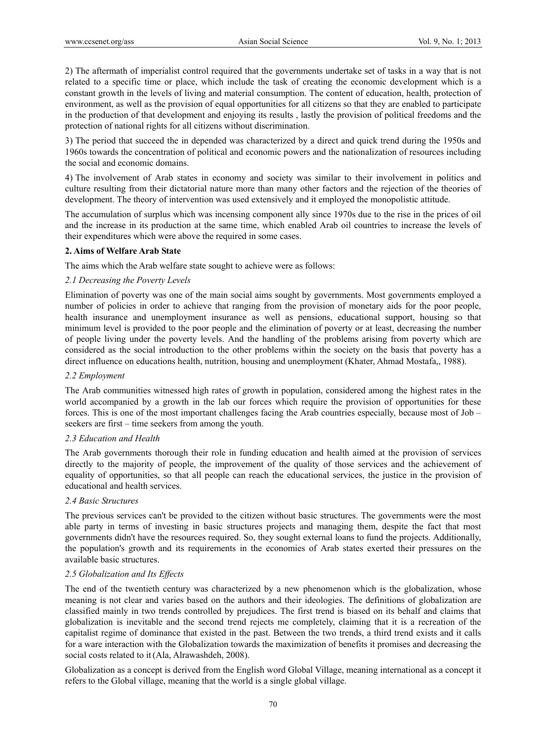2) The aftermath of imperialist control required that the governments undertake set of tasks in a way that is not related to a specific time or place, which include the task of creating the economic development which is a constant growth in the levels of living and material consumption. The content of education, health, protection of environment, as well as the provision of equal opportunities for all citizens so that they are enabled to participate in the production of that development and enjoying its results , lastly the provision of political freedoms and the protection of national rights for all citizens without discrimination.

3) The period that succeed the in depended was characterized by a direct and quick trend during the 1950s and 1960s towards the concentration of political and economic powers and the nationalization of resources including the social and economic domains.

4) The involvement of Arab states in economy and society was similar to their involvement in politics and culture resulting from their dictatorial nature more than many other factors and the rejection of the theories of development. The theory of intervention was used extensively and it employed the monopolistic attitude.

The accumulation of surplus which was incensing component ally since 1970s due to the rise in the prices of oil and the increase in its production at the same time, which enabled Arab oil countries to increase the levels of their expenditures which were above the required in some cases.

## **2. Aims of Welfare Arab State**

The aims which the Arab welfare state sought to achieve were as follows:

# *2.1 Decreasing the Poverty Levels*

Elimination of poverty was one of the main social aims sought by governments. Most governments employed a number of policies in order to achieve that ranging from the provision of monetary aids for the poor people, health insurance and unemployment insurance as well as pensions, educational support, housing so that minimum level is provided to the poor people and the elimination of poverty or at least, decreasing the number of people living under the poverty levels. And the handling of the problems arising from poverty which are considered as the social introduction to the other problems within the society on the basis that poverty has a direct influence on educations health, nutrition, housing and unemployment (Khater, Ahmad Mostafa,, 1988).

### *2.2 Employment*

The Arab communities witnessed high rates of growth in population, considered among the highest rates in the world accompanied by a growth in the lab our forces which require the provision of opportunities for these forces. This is one of the most important challenges facing the Arab countries especially, because most of Job – seekers are first – time seekers from among the youth.

#### *2.3 Education and Health*

The Arab governments thorough their role in funding education and health aimed at the provision of services directly to the majority of people, the improvement of the quality of those services and the achievement of equality of opportunities, so that all people can reach the educational services, the justice in the provision of educational and health services.

#### *2.4 Basic Structures*

The previous services can't be provided to the citizen without basic structures. The governments were the most able party in terms of investing in basic structures projects and managing them, despite the fact that most governments didn't have the resources required. So, they sought external loans to fund the projects. Additionally, the population's growth and its requirements in the economies of Arab states exerted their pressures on the available basic structures.

# *2.5 Globalization and Its Effects*

The end of the twentieth century was characterized by a new phenomenon which is the globalization, whose meaning is not clear and varies based on the authors and their ideologies. The definitions of globalization are classified mainly in two trends controlled by prejudices. The first trend is biased on its behalf and claims that globalization is inevitable and the second trend rejects me completely, claiming that it is a recreation of the capitalist regime of dominance that existed in the past. Between the two trends, a third trend exists and it calls for a ware interaction with the Globalization towards the maximization of benefits it promises and decreasing the social costs related to it(Ala, Alrawashdeh, 2008).

Globalization as a concept is derived from the English word Global Village, meaning international as a concept it refers to the Global village, meaning that the world is a single global village.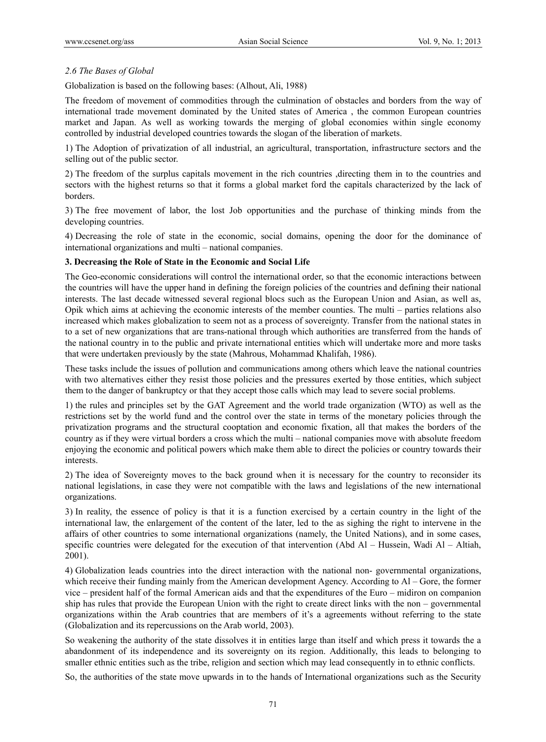#### *2.6 The Bases of Global*

Globalization is based on the following bases: (Alhout, Ali, 1988)

The freedom of movement of commodities through the culmination of obstacles and borders from the way of international trade movement dominated by the United states of America , the common European countries market and Japan. As well as working towards the merging of global economies within single economy controlled by industrial developed countries towards the slogan of the liberation of markets.

1) The Adoption of privatization of all industrial, an agricultural, transportation, infrastructure sectors and the selling out of the public sector.

2) The freedom of the surplus capitals movement in the rich countries ,directing them in to the countries and sectors with the highest returns so that it forms a global market ford the capitals characterized by the lack of borders.

3) The free movement of labor, the lost Job opportunities and the purchase of thinking minds from the developing countries.

4) Decreasing the role of state in the economic, social domains, opening the door for the dominance of international organizations and multi – national companies.

#### **3. Decreasing the Role of State in the Economic and Social Life**

The Geo-economic considerations will control the international order, so that the economic interactions between the countries will have the upper hand in defining the foreign policies of the countries and defining their national interests. The last decade witnessed several regional blocs such as the European Union and Asian, as well as, Opik which aims at achieving the economic interests of the member counties. The multi – parties relations also increased which makes globalization to seem not as a process of sovereignty. Transfer from the national states in to a set of new organizations that are trans-national through which authorities are transferred from the hands of the national country in to the public and private international entities which will undertake more and more tasks that were undertaken previously by the state (Mahrous, Mohammad Khalifah, 1986).

These tasks include the issues of pollution and communications among others which leave the national countries with two alternatives either they resist those policies and the pressures exerted by those entities, which subject them to the danger of bankruptcy or that they accept those calls which may lead to severe social problems.

1) the rules and principles set by the GAT Agreement and the world trade organization (WTO) as well as the restrictions set by the world fund and the control over the state in terms of the monetary policies through the privatization programs and the structural cooptation and economic fixation, all that makes the borders of the country as if they were virtual borders a cross which the multi – national companies move with absolute freedom enjoying the economic and political powers which make them able to direct the policies or country towards their interests.

2) The idea of Sovereignty moves to the back ground when it is necessary for the country to reconsider its national legislations, in case they were not compatible with the laws and legislations of the new international organizations.

3) In reality, the essence of policy is that it is a function exercised by a certain country in the light of the international law, the enlargement of the content of the later, led to the as sighing the right to intervene in the affairs of other countries to some international organizations (namely, the United Nations), and in some cases, specific countries were delegated for the execution of that intervention (Abd Al – Hussein, Wadi Al – Altiah, 2001).

4) Globalization leads countries into the direct interaction with the national non- governmental organizations, which receive their funding mainly from the American development Agency. According to Al – Gore, the former vice – president half of the formal American aids and that the expenditures of the Euro – midiron on companion ship has rules that provide the European Union with the right to create direct links with the non – governmental organizations within the Arab countries that are members of it's a agreements without referring to the state (Globalization and its repercussions on the Arab world, 2003).

So weakening the authority of the state dissolves it in entities large than itself and which press it towards the a abandonment of its independence and its sovereignty on its region. Additionally, this leads to belonging to smaller ethnic entities such as the tribe, religion and section which may lead consequently in to ethnic conflicts.

So, the authorities of the state move upwards in to the hands of International organizations such as the Security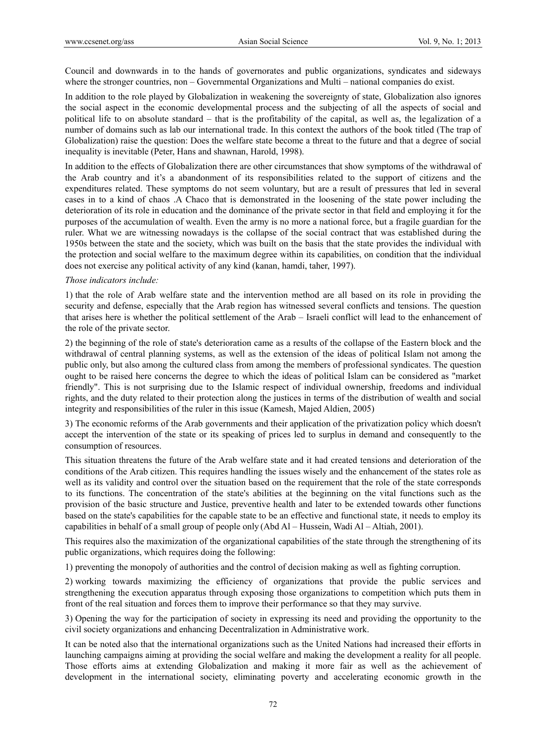Council and downwards in to the hands of governorates and public organizations, syndicates and sideways where the stronger countries, non – Governmental Organizations and Multi – national companies do exist.

In addition to the role played by Globalization in weakening the sovereignty of state, Globalization also ignores the social aspect in the economic developmental process and the subjecting of all the aspects of social and political life to on absolute standard – that is the profitability of the capital, as well as, the legalization of a number of domains such as lab our international trade. In this context the authors of the book titled (The trap of Globalization) raise the question: Does the welfare state become a threat to the future and that a degree of social inequality is inevitable (Peter, Hans and shawnan, Harold, 1998).

In addition to the effects of Globalization there are other circumstances that show symptoms of the withdrawal of the Arab country and it's a abandonment of its responsibilities related to the support of citizens and the expenditures related. These symptoms do not seem voluntary, but are a result of pressures that led in several cases in to a kind of chaos .A Chaco that is demonstrated in the loosening of the state power including the deterioration of its role in education and the dominance of the private sector in that field and employing it for the purposes of the accumulation of wealth. Even the army is no more a national force, but a fragile guardian for the ruler. What we are witnessing nowadays is the collapse of the social contract that was established during the 1950s between the state and the society, which was built on the basis that the state provides the individual with the protection and social welfare to the maximum degree within its capabilities, on condition that the individual does not exercise any political activity of any kind (kanan, hamdi, taher, 1997).

#### *Those indicators include:*

1) that the role of Arab welfare state and the intervention method are all based on its role in providing the security and defense, especially that the Arab region has witnessed several conflicts and tensions. The question that arises here is whether the political settlement of the Arab – Israeli conflict will lead to the enhancement of the role of the private sector.

2) the beginning of the role of state's deterioration came as a results of the collapse of the Eastern block and the withdrawal of central planning systems, as well as the extension of the ideas of political Islam not among the public only, but also among the cultured class from among the members of professional syndicates. The question ought to be raised here concerns the degree to which the ideas of political Islam can be considered as "market friendly". This is not surprising due to the Islamic respect of individual ownership, freedoms and individual rights, and the duty related to their protection along the justices in terms of the distribution of wealth and social integrity and responsibilities of the ruler in this issue (Kamesh, Majed Aldien, 2005)

3) The economic reforms of the Arab governments and their application of the privatization policy which doesn't accept the intervention of the state or its speaking of prices led to surplus in demand and consequently to the consumption of resources.

This situation threatens the future of the Arab welfare state and it had created tensions and deterioration of the conditions of the Arab citizen. This requires handling the issues wisely and the enhancement of the states role as well as its validity and control over the situation based on the requirement that the role of the state corresponds to its functions. The concentration of the state's abilities at the beginning on the vital functions such as the provision of the basic structure and Justice, preventive health and later to be extended towards other functions based on the state's capabilities for the capable state to be an effective and functional state, it needs to employ its capabilities in behalf of a small group of people only (Abd Al – Hussein, Wadi Al – Altiah, 2001).

This requires also the maximization of the organizational capabilities of the state through the strengthening of its public organizations, which requires doing the following:

1) preventing the monopoly of authorities and the control of decision making as well as fighting corruption.

2) working towards maximizing the efficiency of organizations that provide the public services and strengthening the execution apparatus through exposing those organizations to competition which puts them in front of the real situation and forces them to improve their performance so that they may survive.

3) Opening the way for the participation of society in expressing its need and providing the opportunity to the civil society organizations and enhancing Decentralization in Administrative work.

It can be noted also that the international organizations such as the United Nations had increased their efforts in launching campaigns aiming at providing the social welfare and making the development a reality for all people. Those efforts aims at extending Globalization and making it more fair as well as the achievement of development in the international society, eliminating poverty and accelerating economic growth in the